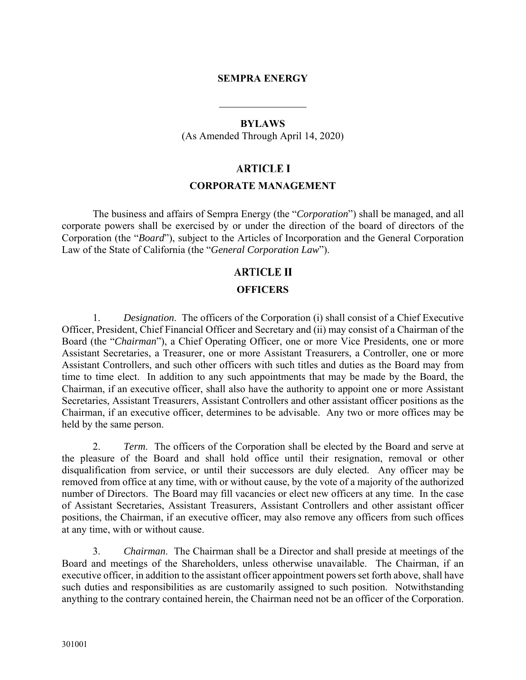#### **SEMPRA ENERGY**

#### **BYLAWS** (As Amended Through April 14, 2020)

# **ARTICLE I**

#### **CORPORATE MANAGEMENT**

The business and affairs of Sempra Energy (the "*Corporation*") shall be managed, and all corporate powers shall be exercised by or under the direction of the board of directors of the Corporation (the "*Board*"), subject to the Articles of Incorporation and the General Corporation Law of the State of California (the "*General Corporation Law*").

### **ARTICLE II**

#### **OFFICERS**

1. *Designation*. The officers of the Corporation (i) shall consist of a Chief Executive Officer, President, Chief Financial Officer and Secretary and (ii) may consist of a Chairman of the Board (the "*Chairman*"), a Chief Operating Officer, one or more Vice Presidents, one or more Assistant Secretaries, a Treasurer, one or more Assistant Treasurers, a Controller, one or more Assistant Controllers, and such other officers with such titles and duties as the Board may from time to time elect. In addition to any such appointments that may be made by the Board, the Chairman, if an executive officer, shall also have the authority to appoint one or more Assistant Secretaries, Assistant Treasurers, Assistant Controllers and other assistant officer positions as the Chairman, if an executive officer, determines to be advisable. Any two or more offices may be held by the same person.

2. *Term*. The officers of the Corporation shall be elected by the Board and serve at the pleasure of the Board and shall hold office until their resignation, removal or other disqualification from service, or until their successors are duly elected. Any officer may be removed from office at any time, with or without cause, by the vote of a majority of the authorized number of Directors. The Board may fill vacancies or elect new officers at any time. In the case of Assistant Secretaries, Assistant Treasurers, Assistant Controllers and other assistant officer positions, the Chairman, if an executive officer, may also remove any officers from such offices at any time, with or without cause.

3. *Chairman*. The Chairman shall be a Director and shall preside at meetings of the Board and meetings of the Shareholders, unless otherwise unavailable. The Chairman, if an executive officer, in addition to the assistant officer appointment powers set forth above, shall have such duties and responsibilities as are customarily assigned to such position. Notwithstanding anything to the contrary contained herein, the Chairman need not be an officer of the Corporation.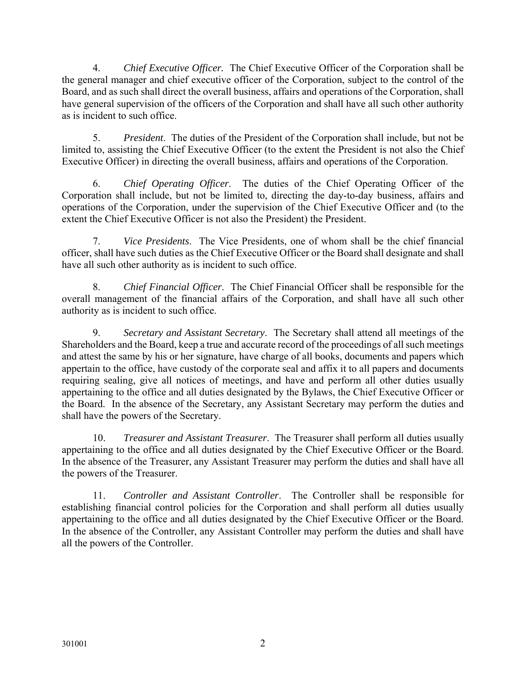4. *Chief Executive Officer.* The Chief Executive Officer of the Corporation shall be the general manager and chief executive officer of the Corporation, subject to the control of the Board, and as such shall direct the overall business, affairs and operations of the Corporation, shall have general supervision of the officers of the Corporation and shall have all such other authority as is incident to such office.

5. *President*. The duties of the President of the Corporation shall include, but not be limited to, assisting the Chief Executive Officer (to the extent the President is not also the Chief Executive Officer) in directing the overall business, affairs and operations of the Corporation.

6. *Chief Operating Officer*. The duties of the Chief Operating Officer of the Corporation shall include, but not be limited to, directing the day-to-day business, affairs and operations of the Corporation, under the supervision of the Chief Executive Officer and (to the extent the Chief Executive Officer is not also the President) the President.

7. *Vice Presidents*. The Vice Presidents, one of whom shall be the chief financial officer, shall have such duties as the Chief Executive Officer or the Board shall designate and shall have all such other authority as is incident to such office.

8. *Chief Financial Officer*. The Chief Financial Officer shall be responsible for the overall management of the financial affairs of the Corporation, and shall have all such other authority as is incident to such office.

9. *Secretary and Assistant Secretary*. The Secretary shall attend all meetings of the Shareholders and the Board, keep a true and accurate record of the proceedings of all such meetings and attest the same by his or her signature, have charge of all books, documents and papers which appertain to the office, have custody of the corporate seal and affix it to all papers and documents requiring sealing, give all notices of meetings, and have and perform all other duties usually appertaining to the office and all duties designated by the Bylaws, the Chief Executive Officer or the Board. In the absence of the Secretary, any Assistant Secretary may perform the duties and shall have the powers of the Secretary.

10. *Treasurer and Assistant Treasurer*. The Treasurer shall perform all duties usually appertaining to the office and all duties designated by the Chief Executive Officer or the Board. In the absence of the Treasurer, any Assistant Treasurer may perform the duties and shall have all the powers of the Treasurer.

11. *Controller and Assistant Controller*. The Controller shall be responsible for establishing financial control policies for the Corporation and shall perform all duties usually appertaining to the office and all duties designated by the Chief Executive Officer or the Board. In the absence of the Controller, any Assistant Controller may perform the duties and shall have all the powers of the Controller.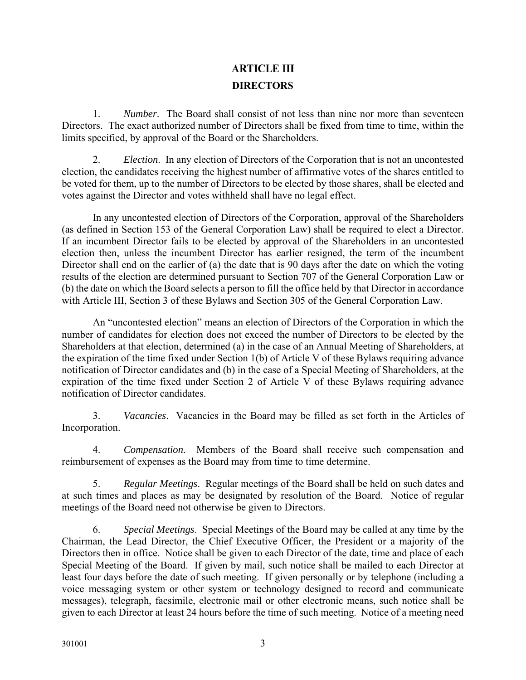# **ARTICLE III DIRECTORS**

1. *Number*. The Board shall consist of not less than nine nor more than seventeen Directors. The exact authorized number of Directors shall be fixed from time to time, within the limits specified, by approval of the Board or the Shareholders.

2. *Election*. In any election of Directors of the Corporation that is not an uncontested election, the candidates receiving the highest number of affirmative votes of the shares entitled to be voted for them, up to the number of Directors to be elected by those shares, shall be elected and votes against the Director and votes withheld shall have no legal effect.

In any uncontested election of Directors of the Corporation, approval of the Shareholders (as defined in Section 153 of the General Corporation Law) shall be required to elect a Director. If an incumbent Director fails to be elected by approval of the Shareholders in an uncontested election then, unless the incumbent Director has earlier resigned, the term of the incumbent Director shall end on the earlier of (a) the date that is 90 days after the date on which the voting results of the election are determined pursuant to Section 707 of the General Corporation Law or (b) the date on which the Board selects a person to fill the office held by that Director in accordance with Article III, Section 3 of these Bylaws and Section 305 of the General Corporation Law.

An "uncontested election" means an election of Directors of the Corporation in which the number of candidates for election does not exceed the number of Directors to be elected by the Shareholders at that election, determined (a) in the case of an Annual Meeting of Shareholders, at the expiration of the time fixed under Section 1(b) of Article V of these Bylaws requiring advance notification of Director candidates and (b) in the case of a Special Meeting of Shareholders, at the expiration of the time fixed under Section 2 of Article V of these Bylaws requiring advance notification of Director candidates.

3. *Vacancies*. Vacancies in the Board may be filled as set forth in the Articles of Incorporation.

4. *Compensation*. Members of the Board shall receive such compensation and reimbursement of expenses as the Board may from time to time determine.

5. *Regular Meetings*. Regular meetings of the Board shall be held on such dates and at such times and places as may be designated by resolution of the Board. Notice of regular meetings of the Board need not otherwise be given to Directors.

6. *Special Meetings*. Special Meetings of the Board may be called at any time by the Chairman, the Lead Director, the Chief Executive Officer, the President or a majority of the Directors then in office. Notice shall be given to each Director of the date, time and place of each Special Meeting of the Board. If given by mail, such notice shall be mailed to each Director at least four days before the date of such meeting. If given personally or by telephone (including a voice messaging system or other system or technology designed to record and communicate messages), telegraph, facsimile, electronic mail or other electronic means, such notice shall be given to each Director at least 24 hours before the time of such meeting. Notice of a meeting need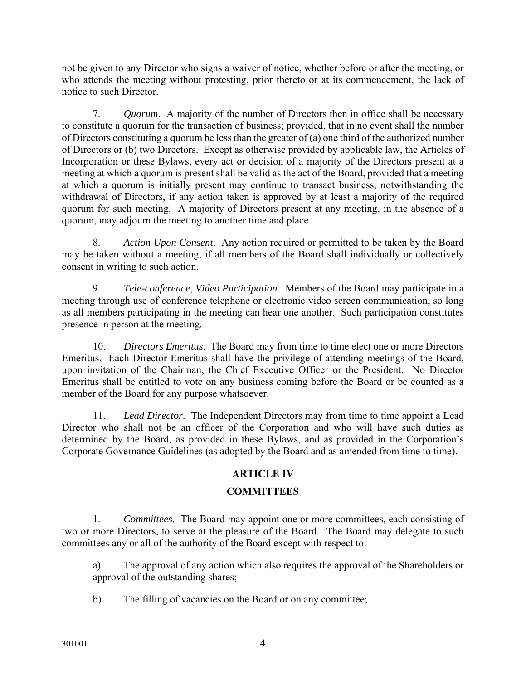not be given to any Director who signs a waiver of notice, whether before or after the meeting, or who attends the meeting without protesting, prior thereto or at its commencement, the lack of notice to such Director.

7. *Quorum*. A majority of the number of Directors then in office shall be necessary to constitute a quorum for the transaction of business; provided, that in no event shall the number of Directors constituting a quorum be less than the greater of (a) one third of the authorized number of Directors or (b) two Directors. Except as otherwise provided by applicable law, the Articles of Incorporation or these Bylaws, every act or decision of a majority of the Directors present at a meeting at which a quorum is present shall be valid as the act of the Board, provided that a meeting at which a quorum is initially present may continue to transact business, notwithstanding the withdrawal of Directors, if any action taken is approved by at least a majority of the required quorum for such meeting. A majority of Directors present at any meeting, in the absence of a quorum, may adjourn the meeting to another time and place.

8. *Action Upon Consent*. Any action required or permitted to be taken by the Board may be taken without a meeting, if all members of the Board shall individually or collectively consent in writing to such action.

9. *Tele-conference*, *Video Participation*. Members of the Board may participate in a meeting through use of conference telephone or electronic video screen communication, so long as all members participating in the meeting can hear one another. Such participation constitutes presence in person at the meeting.

10. *Directors Emeritus*. The Board may from time to time elect one or more Directors Emeritus. Each Director Emeritus shall have the privilege of attending meetings of the Board, upon invitation of the Chairman, the Chief Executive Officer or the President. No Director Emeritus shall be entitled to vote on any business coming before the Board or be counted as a member of the Board for any purpose whatsoever.

11. *Lead Director*. The Independent Directors may from time to time appoint a Lead Director who shall not be an officer of the Corporation and who will have such duties as determined by the Board, as provided in these Bylaws, and as provided in the Corporation's Corporate Governance Guidelines (as adopted by the Board and as amended from time to time).

# **ARTICLE IV**

## **COMMITTEES**

1. *Committees*. The Board may appoint one or more committees, each consisting of two or more Directors, to serve at the pleasure of the Board. The Board may delegate to such committees any or all of the authority of the Board except with respect to:

a) The approval of any action which also requires the approval of the Shareholders or approval of the outstanding shares;

b) The filling of vacancies on the Board or on any committee;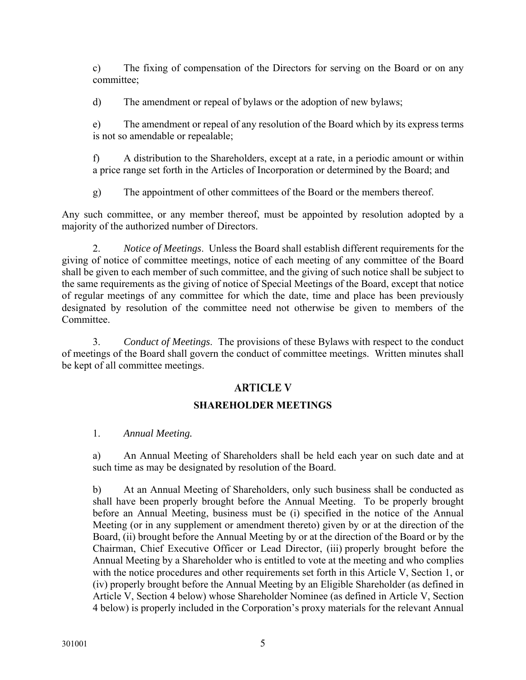c) The fixing of compensation of the Directors for serving on the Board or on any committee;

d) The amendment or repeal of bylaws or the adoption of new bylaws;

e) The amendment or repeal of any resolution of the Board which by its express terms is not so amendable or repealable;

f) A distribution to the Shareholders, except at a rate, in a periodic amount or within a price range set forth in the Articles of Incorporation or determined by the Board; and

g) The appointment of other committees of the Board or the members thereof.

Any such committee, or any member thereof, must be appointed by resolution adopted by a majority of the authorized number of Directors.

2. *Notice of Meetings*. Unless the Board shall establish different requirements for the giving of notice of committee meetings, notice of each meeting of any committee of the Board shall be given to each member of such committee, and the giving of such notice shall be subject to the same requirements as the giving of notice of Special Meetings of the Board, except that notice of regular meetings of any committee for which the date, time and place has been previously designated by resolution of the committee need not otherwise be given to members of the Committee.

3. *Conduct of Meetings*. The provisions of these Bylaws with respect to the conduct of meetings of the Board shall govern the conduct of committee meetings. Written minutes shall be kept of all committee meetings.

## **ARTICLE V**

### **SHAREHOLDER MEETINGS**

### 1. *Annual Meeting.*

a) An Annual Meeting of Shareholders shall be held each year on such date and at such time as may be designated by resolution of the Board.

b) At an Annual Meeting of Shareholders, only such business shall be conducted as shall have been properly brought before the Annual Meeting. To be properly brought before an Annual Meeting, business must be (i) specified in the notice of the Annual Meeting (or in any supplement or amendment thereto) given by or at the direction of the Board, (ii) brought before the Annual Meeting by or at the direction of the Board or by the Chairman, Chief Executive Officer or Lead Director, (iii) properly brought before the Annual Meeting by a Shareholder who is entitled to vote at the meeting and who complies with the notice procedures and other requirements set forth in this Article V, Section 1, or (iv) properly brought before the Annual Meeting by an Eligible Shareholder (as defined in Article V, Section 4 below) whose Shareholder Nominee (as defined in Article V, Section 4 below) is properly included in the Corporation's proxy materials for the relevant Annual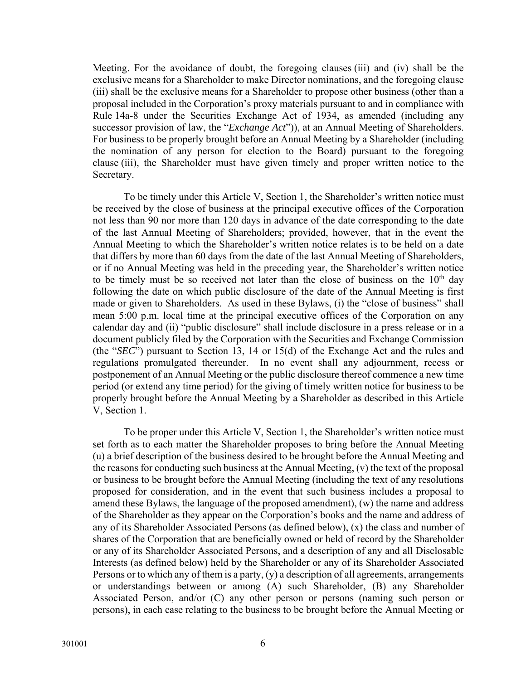Meeting. For the avoidance of doubt, the foregoing clauses (iii) and (iv) shall be the exclusive means for a Shareholder to make Director nominations, and the foregoing clause (iii) shall be the exclusive means for a Shareholder to propose other business (other than a proposal included in the Corporation's proxy materials pursuant to and in compliance with Rule 14a-8 under the Securities Exchange Act of 1934, as amended (including any successor provision of law, the "*Exchange Act*")), at an Annual Meeting of Shareholders. For business to be properly brought before an Annual Meeting by a Shareholder (including the nomination of any person for election to the Board) pursuant to the foregoing clause (iii), the Shareholder must have given timely and proper written notice to the Secretary.

To be timely under this Article V, Section 1, the Shareholder's written notice must be received by the close of business at the principal executive offices of the Corporation not less than 90 nor more than 120 days in advance of the date corresponding to the date of the last Annual Meeting of Shareholders; provided, however, that in the event the Annual Meeting to which the Shareholder's written notice relates is to be held on a date that differs by more than 60 days from the date of the last Annual Meeting of Shareholders, or if no Annual Meeting was held in the preceding year, the Shareholder's written notice to be timely must be so received not later than the close of business on the  $10<sup>th</sup>$  day following the date on which public disclosure of the date of the Annual Meeting is first made or given to Shareholders. As used in these Bylaws, (i) the "close of business" shall mean 5:00 p.m. local time at the principal executive offices of the Corporation on any calendar day and (ii) "public disclosure" shall include disclosure in a press release or in a document publicly filed by the Corporation with the Securities and Exchange Commission (the "*SEC*") pursuant to Section 13, 14 or 15(d) of the Exchange Act and the rules and regulations promulgated thereunder. In no event shall any adjournment, recess or postponement of an Annual Meeting or the public disclosure thereof commence a new time period (or extend any time period) for the giving of timely written notice for business to be properly brought before the Annual Meeting by a Shareholder as described in this Article V, Section 1.

To be proper under this Article V, Section 1, the Shareholder's written notice must set forth as to each matter the Shareholder proposes to bring before the Annual Meeting (u) a brief description of the business desired to be brought before the Annual Meeting and the reasons for conducting such business at the Annual Meeting, (v) the text of the proposal or business to be brought before the Annual Meeting (including the text of any resolutions proposed for consideration, and in the event that such business includes a proposal to amend these Bylaws, the language of the proposed amendment), (w) the name and address of the Shareholder as they appear on the Corporation's books and the name and address of any of its Shareholder Associated Persons (as defined below), (x) the class and number of shares of the Corporation that are beneficially owned or held of record by the Shareholder or any of its Shareholder Associated Persons, and a description of any and all Disclosable Interests (as defined below) held by the Shareholder or any of its Shareholder Associated Persons or to which any of them is a party,  $(y)$  a description of all agreements, arrangements or understandings between or among (A) such Shareholder, (B) any Shareholder Associated Person, and/or (C) any other person or persons (naming such person or persons), in each case relating to the business to be brought before the Annual Meeting or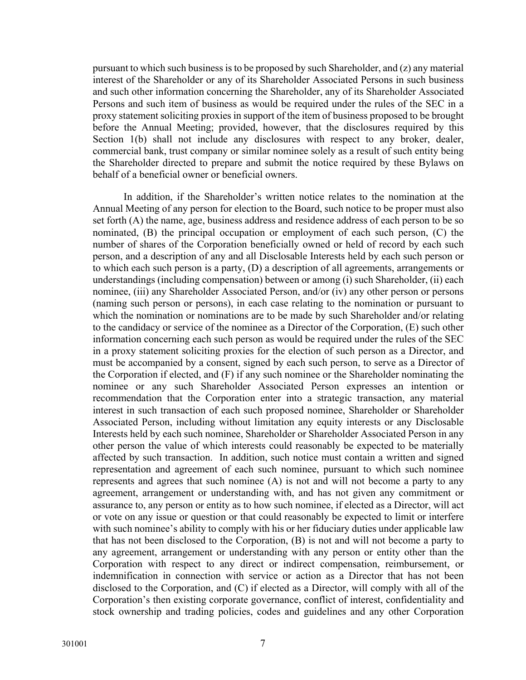pursuant to which such business is to be proposed by such Shareholder, and  $(z)$  any material interest of the Shareholder or any of its Shareholder Associated Persons in such business and such other information concerning the Shareholder, any of its Shareholder Associated Persons and such item of business as would be required under the rules of the SEC in a proxy statement soliciting proxies in support of the item of business proposed to be brought before the Annual Meeting; provided, however, that the disclosures required by this Section 1(b) shall not include any disclosures with respect to any broker, dealer, commercial bank, trust company or similar nominee solely as a result of such entity being the Shareholder directed to prepare and submit the notice required by these Bylaws on behalf of a beneficial owner or beneficial owners.

In addition, if the Shareholder's written notice relates to the nomination at the Annual Meeting of any person for election to the Board, such notice to be proper must also set forth (A) the name, age, business address and residence address of each person to be so nominated, (B) the principal occupation or employment of each such person, (C) the number of shares of the Corporation beneficially owned or held of record by each such person, and a description of any and all Disclosable Interests held by each such person or to which each such person is a party, (D) a description of all agreements, arrangements or understandings (including compensation) between or among (i) such Shareholder, (ii) each nominee, (iii) any Shareholder Associated Person, and/or (iv) any other person or persons (naming such person or persons), in each case relating to the nomination or pursuant to which the nomination or nominations are to be made by such Shareholder and/or relating to the candidacy or service of the nominee as a Director of the Corporation, (E) such other information concerning each such person as would be required under the rules of the SEC in a proxy statement soliciting proxies for the election of such person as a Director, and must be accompanied by a consent, signed by each such person, to serve as a Director of the Corporation if elected, and (F) if any such nominee or the Shareholder nominating the nominee or any such Shareholder Associated Person expresses an intention or recommendation that the Corporation enter into a strategic transaction, any material interest in such transaction of each such proposed nominee, Shareholder or Shareholder Associated Person, including without limitation any equity interests or any Disclosable Interests held by each such nominee, Shareholder or Shareholder Associated Person in any other person the value of which interests could reasonably be expected to be materially affected by such transaction. In addition, such notice must contain a written and signed representation and agreement of each such nominee, pursuant to which such nominee represents and agrees that such nominee (A) is not and will not become a party to any agreement, arrangement or understanding with, and has not given any commitment or assurance to, any person or entity as to how such nominee, if elected as a Director, will act or vote on any issue or question or that could reasonably be expected to limit or interfere with such nominee's ability to comply with his or her fiduciary duties under applicable law that has not been disclosed to the Corporation, (B) is not and will not become a party to any agreement, arrangement or understanding with any person or entity other than the Corporation with respect to any direct or indirect compensation, reimbursement, or indemnification in connection with service or action as a Director that has not been disclosed to the Corporation, and (C) if elected as a Director, will comply with all of the Corporation's then existing corporate governance, conflict of interest, confidentiality and stock ownership and trading policies, codes and guidelines and any other Corporation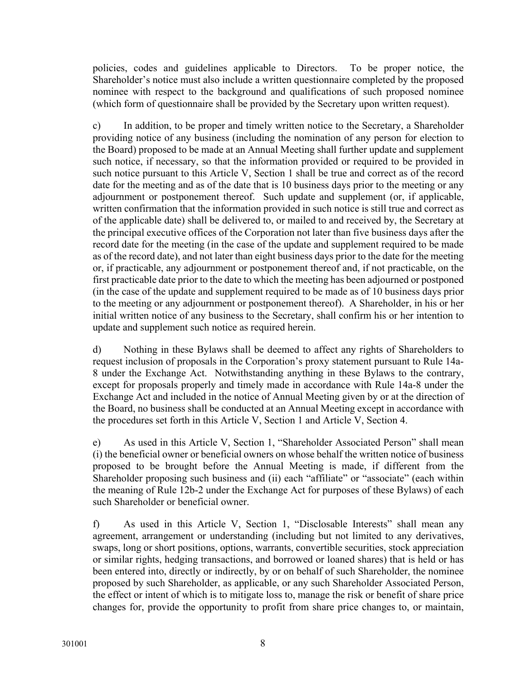policies, codes and guidelines applicable to Directors. To be proper notice, the Shareholder's notice must also include a written questionnaire completed by the proposed nominee with respect to the background and qualifications of such proposed nominee (which form of questionnaire shall be provided by the Secretary upon written request).

c) In addition, to be proper and timely written notice to the Secretary, a Shareholder providing notice of any business (including the nomination of any person for election to the Board) proposed to be made at an Annual Meeting shall further update and supplement such notice, if necessary, so that the information provided or required to be provided in such notice pursuant to this Article V, Section 1 shall be true and correct as of the record date for the meeting and as of the date that is 10 business days prior to the meeting or any adjournment or postponement thereof. Such update and supplement (or, if applicable, written confirmation that the information provided in such notice is still true and correct as of the applicable date) shall be delivered to, or mailed to and received by, the Secretary at the principal executive offices of the Corporation not later than five business days after the record date for the meeting (in the case of the update and supplement required to be made as of the record date), and not later than eight business days prior to the date for the meeting or, if practicable, any adjournment or postponement thereof and, if not practicable, on the first practicable date prior to the date to which the meeting has been adjourned or postponed (in the case of the update and supplement required to be made as of 10 business days prior to the meeting or any adjournment or postponement thereof). A Shareholder, in his or her initial written notice of any business to the Secretary, shall confirm his or her intention to update and supplement such notice as required herein.

d) Nothing in these Bylaws shall be deemed to affect any rights of Shareholders to request inclusion of proposals in the Corporation's proxy statement pursuant to Rule 14a-8 under the Exchange Act. Notwithstanding anything in these Bylaws to the contrary, except for proposals properly and timely made in accordance with Rule 14a-8 under the Exchange Act and included in the notice of Annual Meeting given by or at the direction of the Board, no business shall be conducted at an Annual Meeting except in accordance with the procedures set forth in this Article V, Section 1 and Article V, Section 4.

e) As used in this Article V, Section 1, "Shareholder Associated Person" shall mean (i) the beneficial owner or beneficial owners on whose behalf the written notice of business proposed to be brought before the Annual Meeting is made, if different from the Shareholder proposing such business and (ii) each "affiliate" or "associate" (each within the meaning of Rule 12b-2 under the Exchange Act for purposes of these Bylaws) of each such Shareholder or beneficial owner.

f) As used in this Article V, Section 1, "Disclosable Interests" shall mean any agreement, arrangement or understanding (including but not limited to any derivatives, swaps, long or short positions, options, warrants, convertible securities, stock appreciation or similar rights, hedging transactions, and borrowed or loaned shares) that is held or has been entered into, directly or indirectly, by or on behalf of such Shareholder, the nominee proposed by such Shareholder, as applicable, or any such Shareholder Associated Person, the effect or intent of which is to mitigate loss to, manage the risk or benefit of share price changes for, provide the opportunity to profit from share price changes to, or maintain,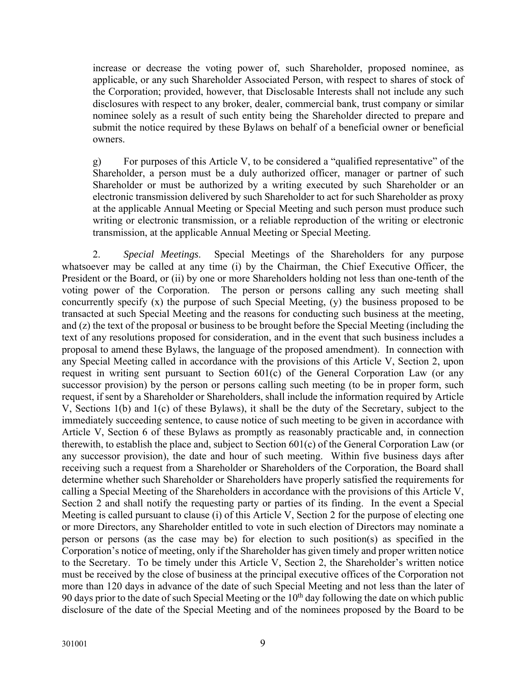increase or decrease the voting power of, such Shareholder, proposed nominee, as applicable, or any such Shareholder Associated Person, with respect to shares of stock of the Corporation; provided, however, that Disclosable Interests shall not include any such disclosures with respect to any broker, dealer, commercial bank, trust company or similar nominee solely as a result of such entity being the Shareholder directed to prepare and submit the notice required by these Bylaws on behalf of a beneficial owner or beneficial owners.

g) For purposes of this Article V, to be considered a "qualified representative" of the Shareholder, a person must be a duly authorized officer, manager or partner of such Shareholder or must be authorized by a writing executed by such Shareholder or an electronic transmission delivered by such Shareholder to act for such Shareholder as proxy at the applicable Annual Meeting or Special Meeting and such person must produce such writing or electronic transmission, or a reliable reproduction of the writing or electronic transmission, at the applicable Annual Meeting or Special Meeting.

2. *Special Meetings*. Special Meetings of the Shareholders for any purpose whatsoever may be called at any time (i) by the Chairman, the Chief Executive Officer, the President or the Board, or (ii) by one or more Shareholders holding not less than one-tenth of the voting power of the Corporation. The person or persons calling any such meeting shall concurrently specify (x) the purpose of such Special Meeting, (y) the business proposed to be transacted at such Special Meeting and the reasons for conducting such business at the meeting, and (z) the text of the proposal or business to be brought before the Special Meeting (including the text of any resolutions proposed for consideration, and in the event that such business includes a proposal to amend these Bylaws, the language of the proposed amendment). In connection with any Special Meeting called in accordance with the provisions of this Article V, Section 2, upon request in writing sent pursuant to Section 601(c) of the General Corporation Law (or any successor provision) by the person or persons calling such meeting (to be in proper form, such request, if sent by a Shareholder or Shareholders, shall include the information required by Article V, Sections 1(b) and 1(c) of these Bylaws), it shall be the duty of the Secretary, subject to the immediately succeeding sentence, to cause notice of such meeting to be given in accordance with Article V, Section 6 of these Bylaws as promptly as reasonably practicable and, in connection therewith, to establish the place and, subject to Section 601(c) of the General Corporation Law (or any successor provision), the date and hour of such meeting. Within five business days after receiving such a request from a Shareholder or Shareholders of the Corporation, the Board shall determine whether such Shareholder or Shareholders have properly satisfied the requirements for calling a Special Meeting of the Shareholders in accordance with the provisions of this Article V, Section 2 and shall notify the requesting party or parties of its finding. In the event a Special Meeting is called pursuant to clause (i) of this Article V, Section 2 for the purpose of electing one or more Directors, any Shareholder entitled to vote in such election of Directors may nominate a person or persons (as the case may be) for election to such position(s) as specified in the Corporation's notice of meeting, only if the Shareholder has given timely and proper written notice to the Secretary. To be timely under this Article V, Section 2, the Shareholder's written notice must be received by the close of business at the principal executive offices of the Corporation not more than 120 days in advance of the date of such Special Meeting and not less than the later of 90 days prior to the date of such Special Meeting or the  $10<sup>th</sup>$  day following the date on which public disclosure of the date of the Special Meeting and of the nominees proposed by the Board to be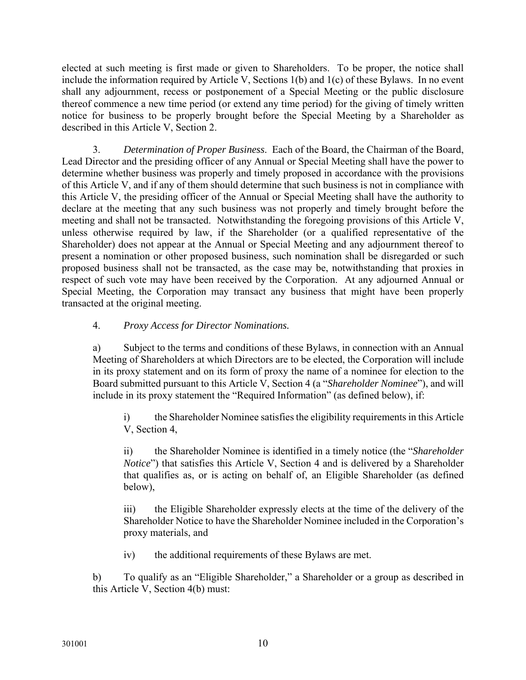elected at such meeting is first made or given to Shareholders. To be proper, the notice shall include the information required by Article V, Sections 1(b) and 1(c) of these Bylaws. In no event shall any adjournment, recess or postponement of a Special Meeting or the public disclosure thereof commence a new time period (or extend any time period) for the giving of timely written notice for business to be properly brought before the Special Meeting by a Shareholder as described in this Article V, Section 2.

3. *Determination of Proper Business*. Each of the Board, the Chairman of the Board, Lead Director and the presiding officer of any Annual or Special Meeting shall have the power to determine whether business was properly and timely proposed in accordance with the provisions of this Article V, and if any of them should determine that such business is not in compliance with this Article V, the presiding officer of the Annual or Special Meeting shall have the authority to declare at the meeting that any such business was not properly and timely brought before the meeting and shall not be transacted. Notwithstanding the foregoing provisions of this Article V, unless otherwise required by law, if the Shareholder (or a qualified representative of the Shareholder) does not appear at the Annual or Special Meeting and any adjournment thereof to present a nomination or other proposed business, such nomination shall be disregarded or such proposed business shall not be transacted, as the case may be, notwithstanding that proxies in respect of such vote may have been received by the Corporation. At any adjourned Annual or Special Meeting, the Corporation may transact any business that might have been properly transacted at the original meeting.

## 4. *Proxy Access for Director Nominations.*

a) Subject to the terms and conditions of these Bylaws, in connection with an Annual Meeting of Shareholders at which Directors are to be elected, the Corporation will include in its proxy statement and on its form of proxy the name of a nominee for election to the Board submitted pursuant to this Article V, Section 4 (a "*Shareholder Nominee*"), and will include in its proxy statement the "Required Information" (as defined below), if:

i) the Shareholder Nominee satisfies the eligibility requirements in this Article V, Section 4,

ii) the Shareholder Nominee is identified in a timely notice (the "*Shareholder Notice*") that satisfies this Article V, Section 4 and is delivered by a Shareholder that qualifies as, or is acting on behalf of, an Eligible Shareholder (as defined below),

iii) the Eligible Shareholder expressly elects at the time of the delivery of the Shareholder Notice to have the Shareholder Nominee included in the Corporation's proxy materials, and

iv) the additional requirements of these Bylaws are met.

b) To qualify as an "Eligible Shareholder," a Shareholder or a group as described in this Article V, Section 4(b) must: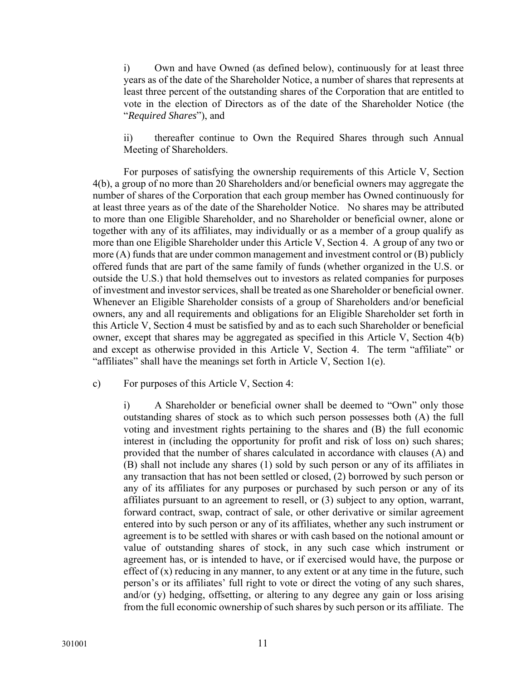i) Own and have Owned (as defined below), continuously for at least three years as of the date of the Shareholder Notice, a number of shares that represents at least three percent of the outstanding shares of the Corporation that are entitled to vote in the election of Directors as of the date of the Shareholder Notice (the "*Required Shares*"), and

ii) thereafter continue to Own the Required Shares through such Annual Meeting of Shareholders.

For purposes of satisfying the ownership requirements of this Article V, Section 4(b), a group of no more than 20 Shareholders and/or beneficial owners may aggregate the number of shares of the Corporation that each group member has Owned continuously for at least three years as of the date of the Shareholder Notice. No shares may be attributed to more than one Eligible Shareholder, and no Shareholder or beneficial owner, alone or together with any of its affiliates, may individually or as a member of a group qualify as more than one Eligible Shareholder under this Article V, Section 4. A group of any two or more (A) funds that are under common management and investment control or (B) publicly offered funds that are part of the same family of funds (whether organized in the U.S. or outside the U.S.) that hold themselves out to investors as related companies for purposes of investment and investor services, shall be treated as one Shareholder or beneficial owner. Whenever an Eligible Shareholder consists of a group of Shareholders and/or beneficial owners, any and all requirements and obligations for an Eligible Shareholder set forth in this Article V, Section 4 must be satisfied by and as to each such Shareholder or beneficial owner, except that shares may be aggregated as specified in this Article V, Section 4(b) and except as otherwise provided in this Article V, Section 4. The term "affiliate" or "affiliates" shall have the meanings set forth in Article V, Section 1(e).

c) For purposes of this Article V, Section 4:

i) A Shareholder or beneficial owner shall be deemed to "Own" only those outstanding shares of stock as to which such person possesses both (A) the full voting and investment rights pertaining to the shares and (B) the full economic interest in (including the opportunity for profit and risk of loss on) such shares; provided that the number of shares calculated in accordance with clauses (A) and (B) shall not include any shares (1) sold by such person or any of its affiliates in any transaction that has not been settled or closed, (2) borrowed by such person or any of its affiliates for any purposes or purchased by such person or any of its affiliates pursuant to an agreement to resell, or (3) subject to any option, warrant, forward contract, swap, contract of sale, or other derivative or similar agreement entered into by such person or any of its affiliates, whether any such instrument or agreement is to be settled with shares or with cash based on the notional amount or value of outstanding shares of stock, in any such case which instrument or agreement has, or is intended to have, or if exercised would have, the purpose or effect of  $(x)$  reducing in any manner, to any extent or at any time in the future, such person's or its affiliates' full right to vote or direct the voting of any such shares, and/or (y) hedging, offsetting, or altering to any degree any gain or loss arising from the full economic ownership of such shares by such person or its affiliate. The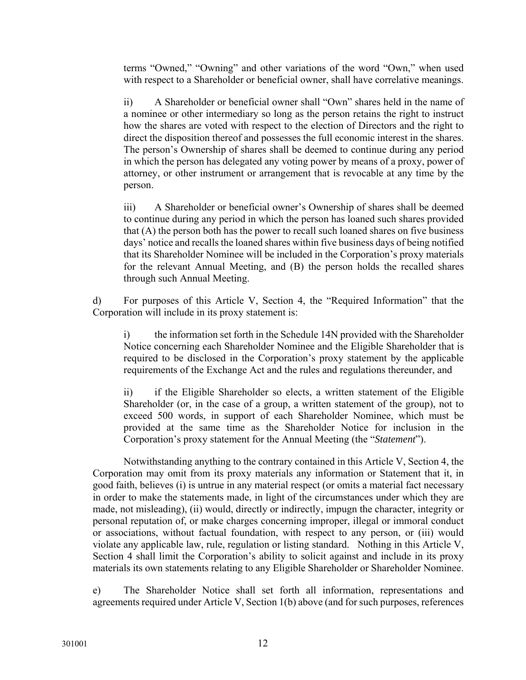terms "Owned," "Owning" and other variations of the word "Own," when used with respect to a Shareholder or beneficial owner, shall have correlative meanings.

ii) A Shareholder or beneficial owner shall "Own" shares held in the name of a nominee or other intermediary so long as the person retains the right to instruct how the shares are voted with respect to the election of Directors and the right to direct the disposition thereof and possesses the full economic interest in the shares. The person's Ownership of shares shall be deemed to continue during any period in which the person has delegated any voting power by means of a proxy, power of attorney, or other instrument or arrangement that is revocable at any time by the person.

iii) A Shareholder or beneficial owner's Ownership of shares shall be deemed to continue during any period in which the person has loaned such shares provided that (A) the person both has the power to recall such loaned shares on five business days' notice and recalls the loaned shares within five business days of being notified that its Shareholder Nominee will be included in the Corporation's proxy materials for the relevant Annual Meeting, and (B) the person holds the recalled shares through such Annual Meeting.

d) For purposes of this Article V, Section 4, the "Required Information" that the Corporation will include in its proxy statement is:

i) the information set forth in the Schedule 14N provided with the Shareholder Notice concerning each Shareholder Nominee and the Eligible Shareholder that is required to be disclosed in the Corporation's proxy statement by the applicable requirements of the Exchange Act and the rules and regulations thereunder, and

ii) if the Eligible Shareholder so elects, a written statement of the Eligible Shareholder (or, in the case of a group, a written statement of the group), not to exceed 500 words, in support of each Shareholder Nominee, which must be provided at the same time as the Shareholder Notice for inclusion in the Corporation's proxy statement for the Annual Meeting (the "*Statement*").

Notwithstanding anything to the contrary contained in this Article V, Section 4, the Corporation may omit from its proxy materials any information or Statement that it, in good faith, believes (i) is untrue in any material respect (or omits a material fact necessary in order to make the statements made, in light of the circumstances under which they are made, not misleading), (ii) would, directly or indirectly, impugn the character, integrity or personal reputation of, or make charges concerning improper, illegal or immoral conduct or associations, without factual foundation, with respect to any person, or (iii) would violate any applicable law, rule, regulation or listing standard. Nothing in this Article V, Section 4 shall limit the Corporation's ability to solicit against and include in its proxy materials its own statements relating to any Eligible Shareholder or Shareholder Nominee.

e) The Shareholder Notice shall set forth all information, representations and agreements required under Article V, Section 1(b) above (and for such purposes, references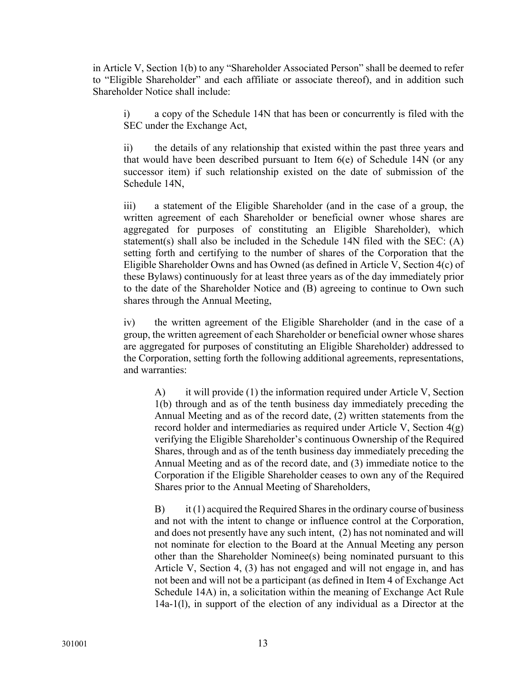in Article V, Section 1(b) to any "Shareholder Associated Person" shall be deemed to refer to "Eligible Shareholder" and each affiliate or associate thereof), and in addition such Shareholder Notice shall include:

i) a copy of the Schedule 14N that has been or concurrently is filed with the SEC under the Exchange Act,

ii) the details of any relationship that existed within the past three years and that would have been described pursuant to Item 6(e) of Schedule 14N (or any successor item) if such relationship existed on the date of submission of the Schedule 14N,

iii) a statement of the Eligible Shareholder (and in the case of a group, the written agreement of each Shareholder or beneficial owner whose shares are aggregated for purposes of constituting an Eligible Shareholder), which statement(s) shall also be included in the Schedule 14N filed with the SEC: (A) setting forth and certifying to the number of shares of the Corporation that the Eligible Shareholder Owns and has Owned (as defined in Article V, Section 4(c) of these Bylaws) continuously for at least three years as of the day immediately prior to the date of the Shareholder Notice and (B) agreeing to continue to Own such shares through the Annual Meeting,

iv) the written agreement of the Eligible Shareholder (and in the case of a group, the written agreement of each Shareholder or beneficial owner whose shares are aggregated for purposes of constituting an Eligible Shareholder) addressed to the Corporation, setting forth the following additional agreements, representations, and warranties:

A) it will provide (1) the information required under Article V, Section 1(b) through and as of the tenth business day immediately preceding the Annual Meeting and as of the record date, (2) written statements from the record holder and intermediaries as required under Article V, Section 4(g) verifying the Eligible Shareholder's continuous Ownership of the Required Shares, through and as of the tenth business day immediately preceding the Annual Meeting and as of the record date, and (3) immediate notice to the Corporation if the Eligible Shareholder ceases to own any of the Required Shares prior to the Annual Meeting of Shareholders,

B) it (1) acquired the Required Shares in the ordinary course of business and not with the intent to change or influence control at the Corporation, and does not presently have any such intent, (2) has not nominated and will not nominate for election to the Board at the Annual Meeting any person other than the Shareholder Nominee(s) being nominated pursuant to this Article V, Section 4, (3) has not engaged and will not engage in, and has not been and will not be a participant (as defined in Item 4 of Exchange Act Schedule 14A) in, a solicitation within the meaning of Exchange Act Rule 14a-1(l), in support of the election of any individual as a Director at the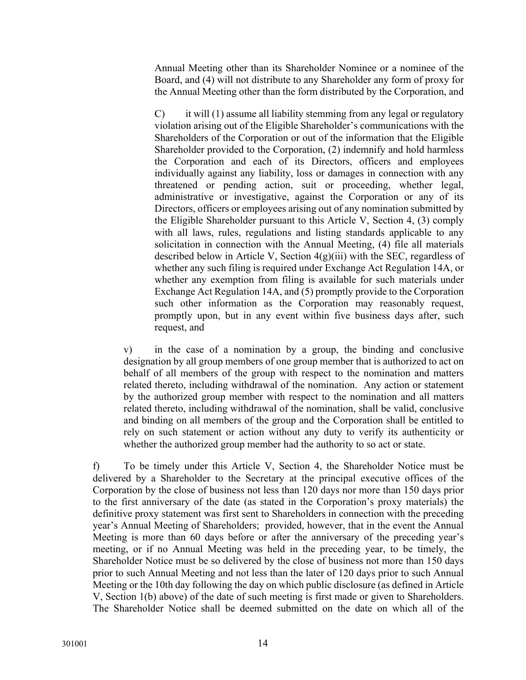Annual Meeting other than its Shareholder Nominee or a nominee of the Board, and (4) will not distribute to any Shareholder any form of proxy for the Annual Meeting other than the form distributed by the Corporation, and

C) it will (1) assume all liability stemming from any legal or regulatory violation arising out of the Eligible Shareholder's communications with the Shareholders of the Corporation or out of the information that the Eligible Shareholder provided to the Corporation, (2) indemnify and hold harmless the Corporation and each of its Directors, officers and employees individually against any liability, loss or damages in connection with any threatened or pending action, suit or proceeding, whether legal, administrative or investigative, against the Corporation or any of its Directors, officers or employees arising out of any nomination submitted by the Eligible Shareholder pursuant to this Article V, Section 4, (3) comply with all laws, rules, regulations and listing standards applicable to any solicitation in connection with the Annual Meeting, (4) file all materials described below in Article V, Section  $4(g)(iii)$  with the SEC, regardless of whether any such filing is required under Exchange Act Regulation 14A, or whether any exemption from filing is available for such materials under Exchange Act Regulation 14A, and (5) promptly provide to the Corporation such other information as the Corporation may reasonably request, promptly upon, but in any event within five business days after, such request, and

v) in the case of a nomination by a group, the binding and conclusive designation by all group members of one group member that is authorized to act on behalf of all members of the group with respect to the nomination and matters related thereto, including withdrawal of the nomination. Any action or statement by the authorized group member with respect to the nomination and all matters related thereto, including withdrawal of the nomination, shall be valid, conclusive and binding on all members of the group and the Corporation shall be entitled to rely on such statement or action without any duty to verify its authenticity or whether the authorized group member had the authority to so act or state.

f) To be timely under this Article V, Section 4, the Shareholder Notice must be delivered by a Shareholder to the Secretary at the principal executive offices of the Corporation by the close of business not less than 120 days nor more than 150 days prior to the first anniversary of the date (as stated in the Corporation's proxy materials) the definitive proxy statement was first sent to Shareholders in connection with the preceding year's Annual Meeting of Shareholders; provided, however, that in the event the Annual Meeting is more than 60 days before or after the anniversary of the preceding year's meeting, or if no Annual Meeting was held in the preceding year, to be timely, the Shareholder Notice must be so delivered by the close of business not more than 150 days prior to such Annual Meeting and not less than the later of 120 days prior to such Annual Meeting or the 10th day following the day on which public disclosure (as defined in Article V, Section 1(b) above) of the date of such meeting is first made or given to Shareholders. The Shareholder Notice shall be deemed submitted on the date on which all of the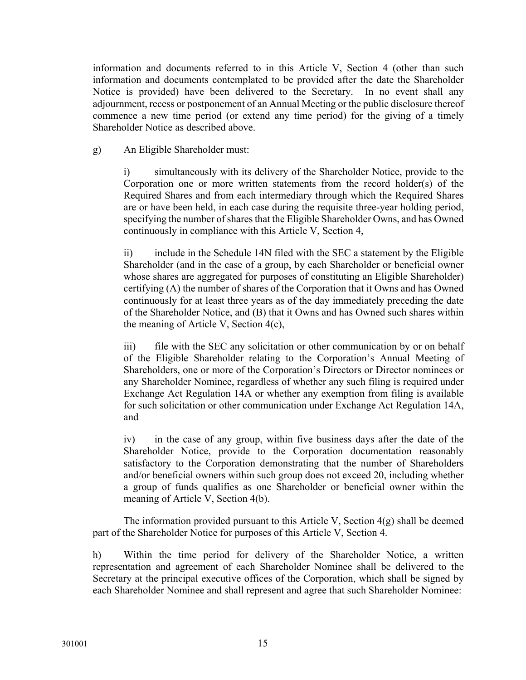information and documents referred to in this Article V, Section 4 (other than such information and documents contemplated to be provided after the date the Shareholder Notice is provided) have been delivered to the Secretary. In no event shall any adjournment, recess or postponement of an Annual Meeting or the public disclosure thereof commence a new time period (or extend any time period) for the giving of a timely Shareholder Notice as described above.

g) An Eligible Shareholder must:

i) simultaneously with its delivery of the Shareholder Notice, provide to the Corporation one or more written statements from the record holder(s) of the Required Shares and from each intermediary through which the Required Shares are or have been held, in each case during the requisite three-year holding period, specifying the number of shares that the Eligible Shareholder Owns, and has Owned continuously in compliance with this Article V, Section 4,

ii) include in the Schedule 14N filed with the SEC a statement by the Eligible Shareholder (and in the case of a group, by each Shareholder or beneficial owner whose shares are aggregated for purposes of constituting an Eligible Shareholder) certifying (A) the number of shares of the Corporation that it Owns and has Owned continuously for at least three years as of the day immediately preceding the date of the Shareholder Notice, and (B) that it Owns and has Owned such shares within the meaning of Article V, Section 4(c),

iii) file with the SEC any solicitation or other communication by or on behalf of the Eligible Shareholder relating to the Corporation's Annual Meeting of Shareholders, one or more of the Corporation's Directors or Director nominees or any Shareholder Nominee, regardless of whether any such filing is required under Exchange Act Regulation 14A or whether any exemption from filing is available for such solicitation or other communication under Exchange Act Regulation 14A, and

iv) in the case of any group, within five business days after the date of the Shareholder Notice, provide to the Corporation documentation reasonably satisfactory to the Corporation demonstrating that the number of Shareholders and/or beneficial owners within such group does not exceed 20, including whether a group of funds qualifies as one Shareholder or beneficial owner within the meaning of Article V, Section 4(b).

The information provided pursuant to this Article V, Section  $4(g)$  shall be deemed part of the Shareholder Notice for purposes of this Article V, Section 4.

h) Within the time period for delivery of the Shareholder Notice, a written representation and agreement of each Shareholder Nominee shall be delivered to the Secretary at the principal executive offices of the Corporation, which shall be signed by each Shareholder Nominee and shall represent and agree that such Shareholder Nominee: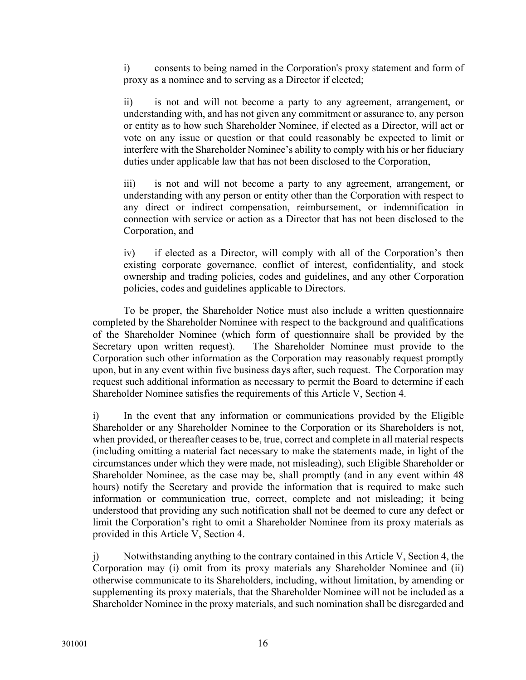i) consents to being named in the Corporation's proxy statement and form of proxy as a nominee and to serving as a Director if elected;

ii) is not and will not become a party to any agreement, arrangement, or understanding with, and has not given any commitment or assurance to, any person or entity as to how such Shareholder Nominee, if elected as a Director, will act or vote on any issue or question or that could reasonably be expected to limit or interfere with the Shareholder Nominee's ability to comply with his or her fiduciary duties under applicable law that has not been disclosed to the Corporation,

iii) is not and will not become a party to any agreement, arrangement, or understanding with any person or entity other than the Corporation with respect to any direct or indirect compensation, reimbursement, or indemnification in connection with service or action as a Director that has not been disclosed to the Corporation, and

iv) if elected as a Director, will comply with all of the Corporation's then existing corporate governance, conflict of interest, confidentiality, and stock ownership and trading policies, codes and guidelines, and any other Corporation policies, codes and guidelines applicable to Directors.

To be proper, the Shareholder Notice must also include a written questionnaire completed by the Shareholder Nominee with respect to the background and qualifications of the Shareholder Nominee (which form of questionnaire shall be provided by the Secretary upon written request). The Shareholder Nominee must provide to the Corporation such other information as the Corporation may reasonably request promptly upon, but in any event within five business days after, such request. The Corporation may request such additional information as necessary to permit the Board to determine if each Shareholder Nominee satisfies the requirements of this Article V, Section 4.

i) In the event that any information or communications provided by the Eligible Shareholder or any Shareholder Nominee to the Corporation or its Shareholders is not, when provided, or thereafter ceases to be, true, correct and complete in all material respects (including omitting a material fact necessary to make the statements made, in light of the circumstances under which they were made, not misleading), such Eligible Shareholder or Shareholder Nominee, as the case may be, shall promptly (and in any event within 48 hours) notify the Secretary and provide the information that is required to make such information or communication true, correct, complete and not misleading; it being understood that providing any such notification shall not be deemed to cure any defect or limit the Corporation's right to omit a Shareholder Nominee from its proxy materials as provided in this Article V, Section 4.

j) Notwithstanding anything to the contrary contained in this Article V, Section 4, the Corporation may (i) omit from its proxy materials any Shareholder Nominee and (ii) otherwise communicate to its Shareholders, including, without limitation, by amending or supplementing its proxy materials, that the Shareholder Nominee will not be included as a Shareholder Nominee in the proxy materials, and such nomination shall be disregarded and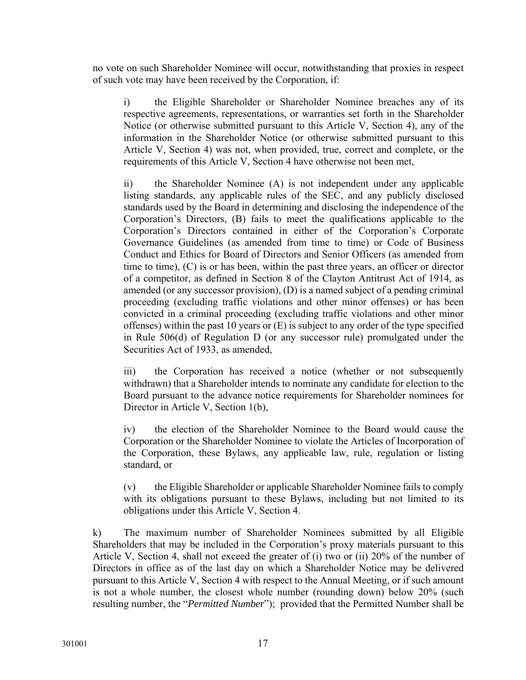no vote on such Shareholder Nominee will occur, notwithstanding that proxies in respect of such vote may have been received by the Corporation, if:

i) the Eligible Shareholder or Shareholder Nominee breaches any of its respective agreements, representations, or warranties set forth in the Shareholder Notice (or otherwise submitted pursuant to this Article V, Section 4), any of the information in the Shareholder Notice (or otherwise submitted pursuant to this Article V, Section 4) was not, when provided, true, correct and complete, or the requirements of this Article V, Section 4 have otherwise not been met,

ii) the Shareholder Nominee (A) is not independent under any applicable listing standards, any applicable rules of the SEC, and any publicly disclosed standards used by the Board in determining and disclosing the independence of the Corporation's Directors, (B) fails to meet the qualifications applicable to the Corporation's Directors contained in either of the Corporation's Corporate Governance Guidelines (as amended from time to time) or Code of Business Conduct and Ethics for Board of Directors and Senior Officers (as amended from time to time), (C) is or has been, within the past three years, an officer or director of a competitor, as defined in Section 8 of the Clayton Antitrust Act of 1914, as amended (or any successor provision), (D) is a named subject of a pending criminal proceeding (excluding traffic violations and other minor offenses) or has been convicted in a criminal proceeding (excluding traffic violations and other minor offenses) within the past 10 years or (E) is subject to any order of the type specified in Rule 506(d) of Regulation D (or any successor rule) promulgated under the Securities Act of 1933, as amended,

iii) the Corporation has received a notice (whether or not subsequently withdrawn) that a Shareholder intends to nominate any candidate for election to the Board pursuant to the advance notice requirements for Shareholder nominees for Director in Article V, Section 1(b),

iv) the election of the Shareholder Nominee to the Board would cause the Corporation or the Shareholder Nominee to violate the Articles of Incorporation of the Corporation, these Bylaws, any applicable law, rule, regulation or listing standard, or

(v) the Eligible Shareholder or applicable Shareholder Nominee fails to comply with its obligations pursuant to these Bylaws, including but not limited to its obligations under this Article V, Section 4.

k) The maximum number of Shareholder Nominees submitted by all Eligible Shareholders that may be included in the Corporation's proxy materials pursuant to this Article V, Section 4, shall not exceed the greater of (i) two or (ii) 20% of the number of Directors in office as of the last day on which a Shareholder Notice may be delivered pursuant to this Article V, Section 4 with respect to the Annual Meeting, or if such amount is not a whole number, the closest whole number (rounding down) below 20% (such resulting number, the "*Permitted Number*"); provided that the Permitted Number shall be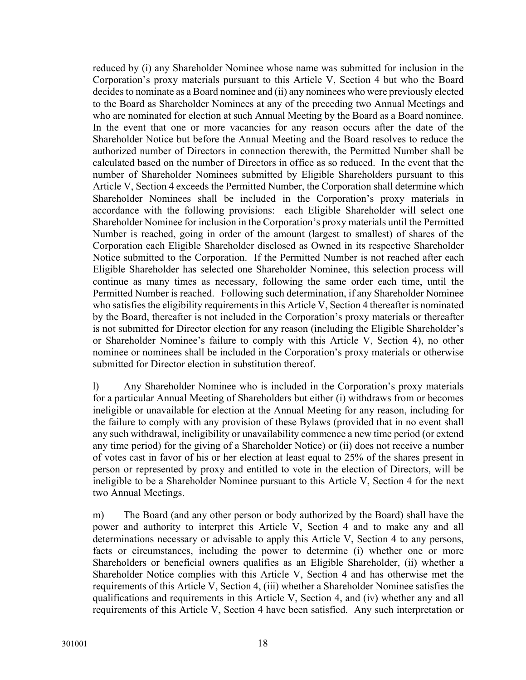reduced by (i) any Shareholder Nominee whose name was submitted for inclusion in the Corporation's proxy materials pursuant to this Article V, Section 4 but who the Board decides to nominate as a Board nominee and (ii) any nominees who were previously elected to the Board as Shareholder Nominees at any of the preceding two Annual Meetings and who are nominated for election at such Annual Meeting by the Board as a Board nominee. In the event that one or more vacancies for any reason occurs after the date of the Shareholder Notice but before the Annual Meeting and the Board resolves to reduce the authorized number of Directors in connection therewith, the Permitted Number shall be calculated based on the number of Directors in office as so reduced. In the event that the number of Shareholder Nominees submitted by Eligible Shareholders pursuant to this Article V, Section 4 exceeds the Permitted Number, the Corporation shall determine which Shareholder Nominees shall be included in the Corporation's proxy materials in accordance with the following provisions: each Eligible Shareholder will select one Shareholder Nominee for inclusion in the Corporation's proxy materials until the Permitted Number is reached, going in order of the amount (largest to smallest) of shares of the Corporation each Eligible Shareholder disclosed as Owned in its respective Shareholder Notice submitted to the Corporation. If the Permitted Number is not reached after each Eligible Shareholder has selected one Shareholder Nominee, this selection process will continue as many times as necessary, following the same order each time, until the Permitted Number is reached. Following such determination, if any Shareholder Nominee who satisfies the eligibility requirements in this Article V, Section 4 thereafter is nominated by the Board, thereafter is not included in the Corporation's proxy materials or thereafter is not submitted for Director election for any reason (including the Eligible Shareholder's or Shareholder Nominee's failure to comply with this Article V, Section 4), no other nominee or nominees shall be included in the Corporation's proxy materials or otherwise submitted for Director election in substitution thereof.

l) Any Shareholder Nominee who is included in the Corporation's proxy materials for a particular Annual Meeting of Shareholders but either (i) withdraws from or becomes ineligible or unavailable for election at the Annual Meeting for any reason, including for the failure to comply with any provision of these Bylaws (provided that in no event shall any such withdrawal, ineligibility or unavailability commence a new time period (or extend any time period) for the giving of a Shareholder Notice) or (ii) does not receive a number of votes cast in favor of his or her election at least equal to 25% of the shares present in person or represented by proxy and entitled to vote in the election of Directors, will be ineligible to be a Shareholder Nominee pursuant to this Article V, Section 4 for the next two Annual Meetings.

m) The Board (and any other person or body authorized by the Board) shall have the power and authority to interpret this Article V, Section 4 and to make any and all determinations necessary or advisable to apply this Article V, Section 4 to any persons, facts or circumstances, including the power to determine (i) whether one or more Shareholders or beneficial owners qualifies as an Eligible Shareholder, (ii) whether a Shareholder Notice complies with this Article V, Section 4 and has otherwise met the requirements of this Article V, Section 4, (iii) whether a Shareholder Nominee satisfies the qualifications and requirements in this Article V, Section 4, and (iv) whether any and all requirements of this Article V, Section 4 have been satisfied. Any such interpretation or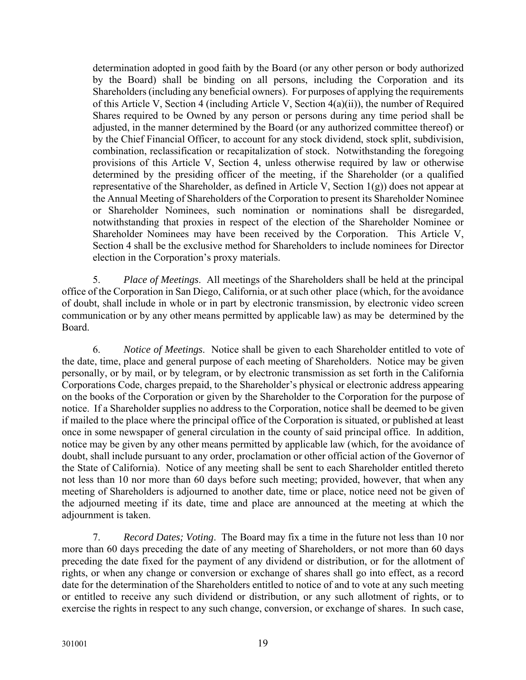determination adopted in good faith by the Board (or any other person or body authorized by the Board) shall be binding on all persons, including the Corporation and its Shareholders (including any beneficial owners). For purposes of applying the requirements of this Article V, Section 4 (including Article V, Section 4(a)(ii)), the number of Required Shares required to be Owned by any person or persons during any time period shall be adjusted, in the manner determined by the Board (or any authorized committee thereof) or by the Chief Financial Officer, to account for any stock dividend, stock split, subdivision, combination, reclassification or recapitalization of stock. Notwithstanding the foregoing provisions of this Article V, Section 4, unless otherwise required by law or otherwise determined by the presiding officer of the meeting, if the Shareholder (or a qualified representative of the Shareholder, as defined in Article V, Section  $1(g)$ ) does not appear at the Annual Meeting of Shareholders of the Corporation to present its Shareholder Nominee or Shareholder Nominees, such nomination or nominations shall be disregarded, notwithstanding that proxies in respect of the election of the Shareholder Nominee or Shareholder Nominees may have been received by the Corporation. This Article V, Section 4 shall be the exclusive method for Shareholders to include nominees for Director election in the Corporation's proxy materials.

5. *Place of Meetings*. All meetings of the Shareholders shall be held at the principal office of the Corporation in San Diego, California, or at such other place (which, for the avoidance of doubt, shall include in whole or in part by electronic transmission, by electronic video screen communication or by any other means permitted by applicable law) as may be determined by the Board.

6. *Notice of Meetings*. Notice shall be given to each Shareholder entitled to vote of the date, time, place and general purpose of each meeting of Shareholders. Notice may be given personally, or by mail, or by telegram, or by electronic transmission as set forth in the California Corporations Code, charges prepaid, to the Shareholder's physical or electronic address appearing on the books of the Corporation or given by the Shareholder to the Corporation for the purpose of notice. If a Shareholder supplies no address to the Corporation, notice shall be deemed to be given if mailed to the place where the principal office of the Corporation is situated, or published at least once in some newspaper of general circulation in the county of said principal office. In addition, notice may be given by any other means permitted by applicable law (which, for the avoidance of doubt, shall include pursuant to any order, proclamation or other official action of the Governor of the State of California). Notice of any meeting shall be sent to each Shareholder entitled thereto not less than 10 nor more than 60 days before such meeting; provided, however, that when any meeting of Shareholders is adjourned to another date, time or place, notice need not be given of the adjourned meeting if its date, time and place are announced at the meeting at which the adjournment is taken.

7. *Record Dates; Voting*. The Board may fix a time in the future not less than 10 nor more than 60 days preceding the date of any meeting of Shareholders, or not more than 60 days preceding the date fixed for the payment of any dividend or distribution, or for the allotment of rights, or when any change or conversion or exchange of shares shall go into effect, as a record date for the determination of the Shareholders entitled to notice of and to vote at any such meeting or entitled to receive any such dividend or distribution, or any such allotment of rights, or to exercise the rights in respect to any such change, conversion, or exchange of shares. In such case,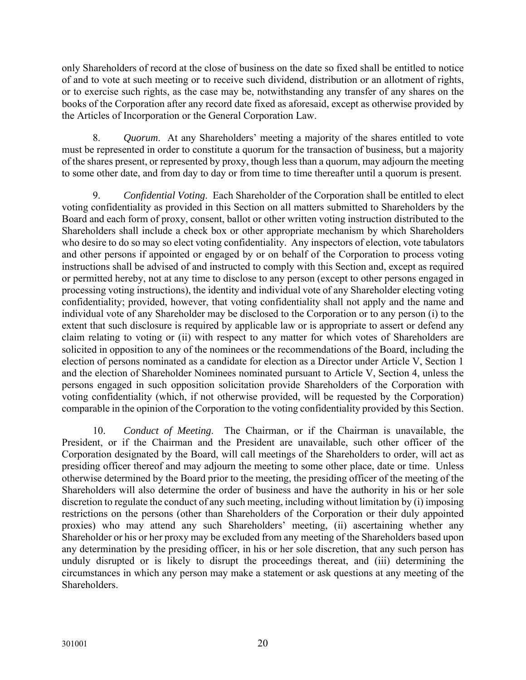only Shareholders of record at the close of business on the date so fixed shall be entitled to notice of and to vote at such meeting or to receive such dividend, distribution or an allotment of rights, or to exercise such rights, as the case may be, notwithstanding any transfer of any shares on the books of the Corporation after any record date fixed as aforesaid, except as otherwise provided by the Articles of Incorporation or the General Corporation Law.

8. *Quorum*. At any Shareholders' meeting a majority of the shares entitled to vote must be represented in order to constitute a quorum for the transaction of business, but a majority of the shares present, or represented by proxy, though less than a quorum, may adjourn the meeting to some other date, and from day to day or from time to time thereafter until a quorum is present.

9. *Confidential Voting*. Each Shareholder of the Corporation shall be entitled to elect voting confidentiality as provided in this Section on all matters submitted to Shareholders by the Board and each form of proxy, consent, ballot or other written voting instruction distributed to the Shareholders shall include a check box or other appropriate mechanism by which Shareholders who desire to do so may so elect voting confidentiality. Any inspectors of election, vote tabulators and other persons if appointed or engaged by or on behalf of the Corporation to process voting instructions shall be advised of and instructed to comply with this Section and, except as required or permitted hereby, not at any time to disclose to any person (except to other persons engaged in processing voting instructions), the identity and individual vote of any Shareholder electing voting confidentiality; provided, however, that voting confidentiality shall not apply and the name and individual vote of any Shareholder may be disclosed to the Corporation or to any person (i) to the extent that such disclosure is required by applicable law or is appropriate to assert or defend any claim relating to voting or (ii) with respect to any matter for which votes of Shareholders are solicited in opposition to any of the nominees or the recommendations of the Board, including the election of persons nominated as a candidate for election as a Director under Article V, Section 1 and the election of Shareholder Nominees nominated pursuant to Article V, Section 4, unless the persons engaged in such opposition solicitation provide Shareholders of the Corporation with voting confidentiality (which, if not otherwise provided, will be requested by the Corporation) comparable in the opinion of the Corporation to the voting confidentiality provided by this Section.

10. *Conduct of Meeting*. The Chairman, or if the Chairman is unavailable, the President, or if the Chairman and the President are unavailable, such other officer of the Corporation designated by the Board, will call meetings of the Shareholders to order, will act as presiding officer thereof and may adjourn the meeting to some other place, date or time. Unless otherwise determined by the Board prior to the meeting, the presiding officer of the meeting of the Shareholders will also determine the order of business and have the authority in his or her sole discretion to regulate the conduct of any such meeting, including without limitation by (i) imposing restrictions on the persons (other than Shareholders of the Corporation or their duly appointed proxies) who may attend any such Shareholders' meeting, (ii) ascertaining whether any Shareholder or his or her proxy may be excluded from any meeting of the Shareholders based upon any determination by the presiding officer, in his or her sole discretion, that any such person has unduly disrupted or is likely to disrupt the proceedings thereat, and (iii) determining the circumstances in which any person may make a statement or ask questions at any meeting of the Shareholders.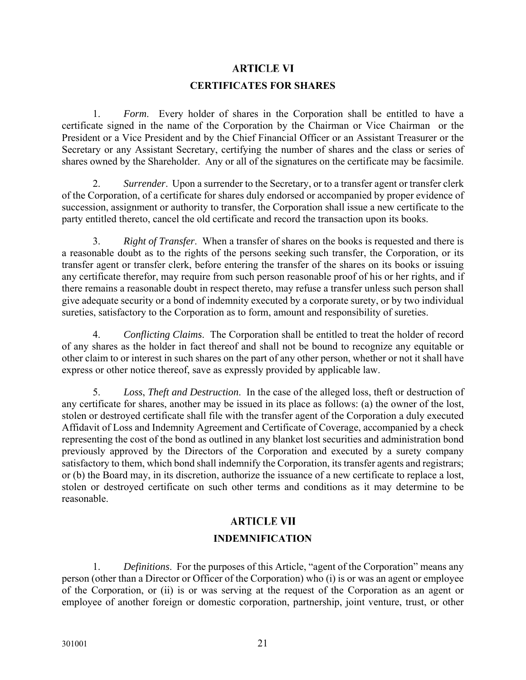## **ARTICLE VI**

### **CERTIFICATES FOR SHARES**

1. *Form*. Every holder of shares in the Corporation shall be entitled to have a certificate signed in the name of the Corporation by the Chairman or Vice Chairman or the President or a Vice President and by the Chief Financial Officer or an Assistant Treasurer or the Secretary or any Assistant Secretary, certifying the number of shares and the class or series of shares owned by the Shareholder. Any or all of the signatures on the certificate may be facsimile.

2. *Surrender*. Upon a surrender to the Secretary, or to a transfer agent or transfer clerk of the Corporation, of a certificate for shares duly endorsed or accompanied by proper evidence of succession, assignment or authority to transfer, the Corporation shall issue a new certificate to the party entitled thereto, cancel the old certificate and record the transaction upon its books.

3. *Right of Transfer*. When a transfer of shares on the books is requested and there is a reasonable doubt as to the rights of the persons seeking such transfer, the Corporation, or its transfer agent or transfer clerk, before entering the transfer of the shares on its books or issuing any certificate therefor, may require from such person reasonable proof of his or her rights, and if there remains a reasonable doubt in respect thereto, may refuse a transfer unless such person shall give adequate security or a bond of indemnity executed by a corporate surety, or by two individual sureties, satisfactory to the Corporation as to form, amount and responsibility of sureties.

4. *Conflicting Claims*. The Corporation shall be entitled to treat the holder of record of any shares as the holder in fact thereof and shall not be bound to recognize any equitable or other claim to or interest in such shares on the part of any other person, whether or not it shall have express or other notice thereof, save as expressly provided by applicable law.

5. *Loss*, *Theft and Destruction*. In the case of the alleged loss, theft or destruction of any certificate for shares, another may be issued in its place as follows: (a) the owner of the lost, stolen or destroyed certificate shall file with the transfer agent of the Corporation a duly executed Affidavit of Loss and Indemnity Agreement and Certificate of Coverage, accompanied by a check representing the cost of the bond as outlined in any blanket lost securities and administration bond previously approved by the Directors of the Corporation and executed by a surety company satisfactory to them, which bond shall indemnify the Corporation, its transfer agents and registrars; or (b) the Board may, in its discretion, authorize the issuance of a new certificate to replace a lost, stolen or destroyed certificate on such other terms and conditions as it may determine to be reasonable.

## **ARTICLE VII**

## **INDEMNIFICATION**

1. *Definitions*. For the purposes of this Article, "agent of the Corporation" means any person (other than a Director or Officer of the Corporation) who (i) is or was an agent or employee of the Corporation, or (ii) is or was serving at the request of the Corporation as an agent or employee of another foreign or domestic corporation, partnership, joint venture, trust, or other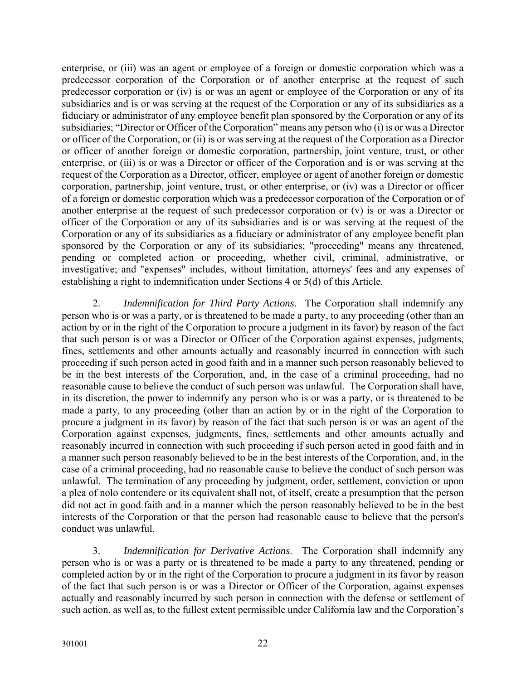enterprise, or (iii) was an agent or employee of a foreign or domestic corporation which was a predecessor corporation of the Corporation or of another enterprise at the request of such predecessor corporation or (iv) is or was an agent or employee of the Corporation or any of its subsidiaries and is or was serving at the request of the Corporation or any of its subsidiaries as a fiduciary or administrator of any employee benefit plan sponsored by the Corporation or any of its subsidiaries; "Director or Officer of the Corporation" means any person who (i) is or was a Director or officer of the Corporation, or (ii) is or was serving at the request of the Corporation as a Director or officer of another foreign or domestic corporation, partnership, joint venture, trust, or other enterprise, or (iii) is or was a Director or officer of the Corporation and is or was serving at the request of the Corporation as a Director, officer, employee or agent of another foreign or domestic corporation, partnership, joint venture, trust, or other enterprise, or (iv) was a Director or officer of a foreign or domestic corporation which was a predecessor corporation of the Corporation or of another enterprise at the request of such predecessor corporation or (v) is or was a Director or officer of the Corporation or any of its subsidiaries and is or was serving at the request of the Corporation or any of its subsidiaries as a fiduciary or administrator of any employee benefit plan sponsored by the Corporation or any of its subsidiaries; "proceeding" means any threatened, pending or completed action or proceeding, whether civil, criminal, administrative, or investigative; and "expenses" includes, without limitation, attorneys' fees and any expenses of establishing a right to indemnification under Sections 4 or 5(d) of this Article.

2. *Indemnification for Third Party Actions*. The Corporation shall indemnify any person who is or was a party, or is threatened to be made a party, to any proceeding (other than an action by or in the right of the Corporation to procure a judgment in its favor) by reason of the fact that such person is or was a Director or Officer of the Corporation against expenses, judgments, fines, settlements and other amounts actually and reasonably incurred in connection with such proceeding if such person acted in good faith and in a manner such person reasonably believed to be in the best interests of the Corporation, and, in the case of a criminal proceeding, had no reasonable cause to believe the conduct of such person was unlawful. The Corporation shall have, in its discretion, the power to indemnify any person who is or was a party, or is threatened to be made a party, to any proceeding (other than an action by or in the right of the Corporation to procure a judgment in its favor) by reason of the fact that such person is or was an agent of the Corporation against expenses, judgments, fines, settlements and other amounts actually and reasonably incurred in connection with such proceeding if such person acted in good faith and in a manner such person reasonably believed to be in the best interests of the Corporation, and, in the case of a criminal proceeding, had no reasonable cause to believe the conduct of such person was unlawful. The termination of any proceeding by judgment, order, settlement, conviction or upon a plea of nolo contendere or its equivalent shall not, of itself, create a presumption that the person did not act in good faith and in a manner which the person reasonably believed to be in the best interests of the Corporation or that the person had reasonable cause to believe that the person's conduct was unlawful.

3. *Indemnification for Derivative Actions*. The Corporation shall indemnify any person who is or was a party or is threatened to be made a party to any threatened, pending or completed action by or in the right of the Corporation to procure a judgment in its favor by reason of the fact that such person is or was a Director or Officer of the Corporation, against expenses actually and reasonably incurred by such person in connection with the defense or settlement of such action, as well as, to the fullest extent permissible under California law and the Corporation's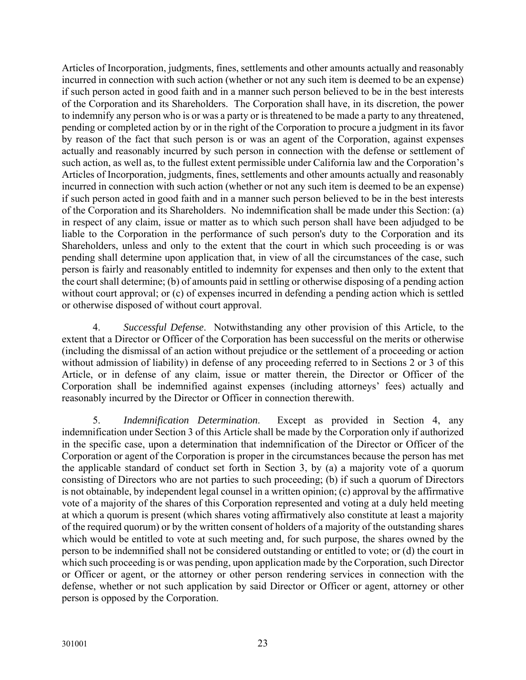Articles of Incorporation, judgments, fines, settlements and other amounts actually and reasonably incurred in connection with such action (whether or not any such item is deemed to be an expense) if such person acted in good faith and in a manner such person believed to be in the best interests of the Corporation and its Shareholders. The Corporation shall have, in its discretion, the power to indemnify any person who is or was a party or is threatened to be made a party to any threatened, pending or completed action by or in the right of the Corporation to procure a judgment in its favor by reason of the fact that such person is or was an agent of the Corporation, against expenses actually and reasonably incurred by such person in connection with the defense or settlement of such action, as well as, to the fullest extent permissible under California law and the Corporation's Articles of Incorporation, judgments, fines, settlements and other amounts actually and reasonably incurred in connection with such action (whether or not any such item is deemed to be an expense) if such person acted in good faith and in a manner such person believed to be in the best interests of the Corporation and its Shareholders. No indemnification shall be made under this Section: (a) in respect of any claim, issue or matter as to which such person shall have been adjudged to be liable to the Corporation in the performance of such person's duty to the Corporation and its Shareholders, unless and only to the extent that the court in which such proceeding is or was pending shall determine upon application that, in view of all the circumstances of the case, such person is fairly and reasonably entitled to indemnity for expenses and then only to the extent that the court shall determine; (b) of amounts paid in settling or otherwise disposing of a pending action without court approval; or (c) of expenses incurred in defending a pending action which is settled or otherwise disposed of without court approval.

4. *Successful Defense*. Notwithstanding any other provision of this Article, to the extent that a Director or Officer of the Corporation has been successful on the merits or otherwise (including the dismissal of an action without prejudice or the settlement of a proceeding or action without admission of liability) in defense of any proceeding referred to in Sections 2 or 3 of this Article, or in defense of any claim, issue or matter therein, the Director or Officer of the Corporation shall be indemnified against expenses (including attorneys' fees) actually and reasonably incurred by the Director or Officer in connection therewith.

5. *Indemnification Determination*. Except as provided in Section 4, any indemnification under Section 3 of this Article shall be made by the Corporation only if authorized in the specific case, upon a determination that indemnification of the Director or Officer of the Corporation or agent of the Corporation is proper in the circumstances because the person has met the applicable standard of conduct set forth in Section 3, by (a) a majority vote of a quorum consisting of Directors who are not parties to such proceeding; (b) if such a quorum of Directors is not obtainable, by independent legal counsel in a written opinion; (c) approval by the affirmative vote of a majority of the shares of this Corporation represented and voting at a duly held meeting at which a quorum is present (which shares voting affirmatively also constitute at least a majority of the required quorum) or by the written consent of holders of a majority of the outstanding shares which would be entitled to vote at such meeting and, for such purpose, the shares owned by the person to be indemnified shall not be considered outstanding or entitled to vote; or (d) the court in which such proceeding is or was pending, upon application made by the Corporation, such Director or Officer or agent, or the attorney or other person rendering services in connection with the defense, whether or not such application by said Director or Officer or agent, attorney or other person is opposed by the Corporation.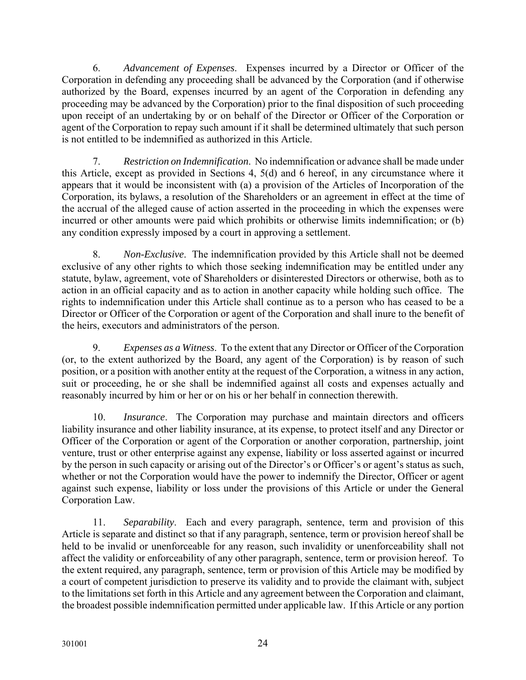6. *Advancement of Expenses*. Expenses incurred by a Director or Officer of the Corporation in defending any proceeding shall be advanced by the Corporation (and if otherwise authorized by the Board, expenses incurred by an agent of the Corporation in defending any proceeding may be advanced by the Corporation) prior to the final disposition of such proceeding upon receipt of an undertaking by or on behalf of the Director or Officer of the Corporation or agent of the Corporation to repay such amount if it shall be determined ultimately that such person is not entitled to be indemnified as authorized in this Article.

7. *Restriction on Indemnification*. No indemnification or advance shall be made under this Article, except as provided in Sections 4, 5(d) and 6 hereof, in any circumstance where it appears that it would be inconsistent with (a) a provision of the Articles of Incorporation of the Corporation, its bylaws, a resolution of the Shareholders or an agreement in effect at the time of the accrual of the alleged cause of action asserted in the proceeding in which the expenses were incurred or other amounts were paid which prohibits or otherwise limits indemnification; or (b) any condition expressly imposed by a court in approving a settlement.

8. *Non-Exclusive*. The indemnification provided by this Article shall not be deemed exclusive of any other rights to which those seeking indemnification may be entitled under any statute, bylaw, agreement, vote of Shareholders or disinterested Directors or otherwise, both as to action in an official capacity and as to action in another capacity while holding such office. The rights to indemnification under this Article shall continue as to a person who has ceased to be a Director or Officer of the Corporation or agent of the Corporation and shall inure to the benefit of the heirs, executors and administrators of the person.

9. *Expenses as a Witness*. To the extent that any Director or Officer of the Corporation (or, to the extent authorized by the Board, any agent of the Corporation) is by reason of such position, or a position with another entity at the request of the Corporation, a witness in any action, suit or proceeding, he or she shall be indemnified against all costs and expenses actually and reasonably incurred by him or her or on his or her behalf in connection therewith.

10. *Insurance*. The Corporation may purchase and maintain directors and officers liability insurance and other liability insurance, at its expense, to protect itself and any Director or Officer of the Corporation or agent of the Corporation or another corporation, partnership, joint venture, trust or other enterprise against any expense, liability or loss asserted against or incurred by the person in such capacity or arising out of the Director's or Officer's or agent's status as such, whether or not the Corporation would have the power to indemnify the Director, Officer or agent against such expense, liability or loss under the provisions of this Article or under the General Corporation Law.

11. *Separability*. Each and every paragraph, sentence, term and provision of this Article is separate and distinct so that if any paragraph, sentence, term or provision hereof shall be held to be invalid or unenforceable for any reason, such invalidity or unenforceability shall not affect the validity or enforceability of any other paragraph, sentence, term or provision hereof. To the extent required, any paragraph, sentence, term or provision of this Article may be modified by a court of competent jurisdiction to preserve its validity and to provide the claimant with, subject to the limitations set forth in this Article and any agreement between the Corporation and claimant, the broadest possible indemnification permitted under applicable law. If this Article or any portion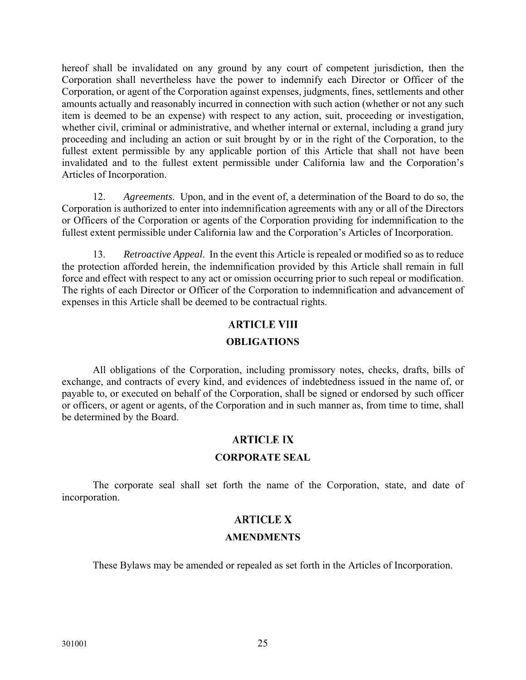hereof shall be invalidated on any ground by any court of competent jurisdiction, then the Corporation shall nevertheless have the power to indemnify each Director or Officer of the Corporation, or agent of the Corporation against expenses, judgments, fines, settlements and other amounts actually and reasonably incurred in connection with such action (whether or not any such item is deemed to be an expense) with respect to any action, suit, proceeding or investigation, whether civil, criminal or administrative, and whether internal or external, including a grand jury proceeding and including an action or suit brought by or in the right of the Corporation, to the fullest extent permissible by any applicable portion of this Article that shall not have been invalidated and to the fullest extent permissible under California law and the Corporation's Articles of Incorporation.

12. *Agreements*. Upon, and in the event of, a determination of the Board to do so, the Corporation is authorized to enter into indemnification agreements with any or all of the Directors or Officers of the Corporation or agents of the Corporation providing for indemnification to the fullest extent permissible under California law and the Corporation's Articles of Incorporation.

13. *Retroactive Appeal*. In the event this Article is repealed or modified so as to reduce the protection afforded herein, the indemnification provided by this Article shall remain in full force and effect with respect to any act or omission occurring prior to such repeal or modification. The rights of each Director or Officer of the Corporation to indemnification and advancement of expenses in this Article shall be deemed to be contractual rights.

### **ARTICLE VIII**

#### **OBLIGATIONS**

All obligations of the Corporation, including promissory notes, checks, drafts, bills of exchange, and contracts of every kind, and evidences of indebtedness issued in the name of, or payable to, or executed on behalf of the Corporation, shall be signed or endorsed by such officer or officers, or agent or agents, of the Corporation and in such manner as, from time to time, shall be determined by the Board.

## **ARTICLE IX**

#### **CORPORATE SEAL**

The corporate seal shall set forth the name of the Corporation, state, and date of incorporation.

# **ARTICLE X AMENDMENTS**

These Bylaws may be amended or repealed as set forth in the Articles of Incorporation.